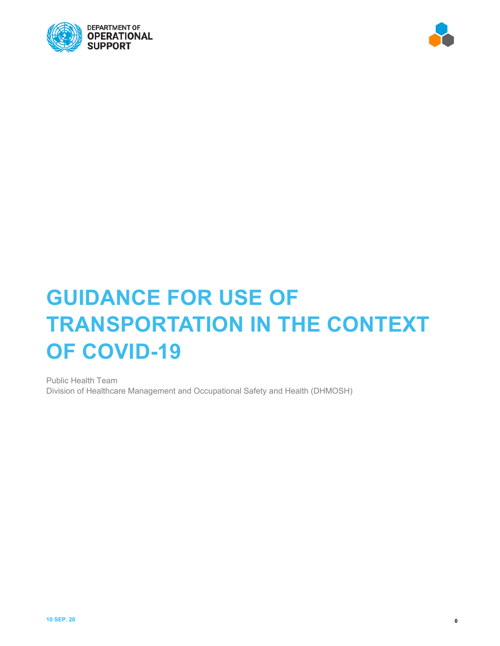



# **GUIDANCE FOR USE OF TRANSPORTATION IN THE CONTEXT OF COVID-19**

Public Health Team Division of Healthcare Management and Occupational Safety and Health (DHMOSH)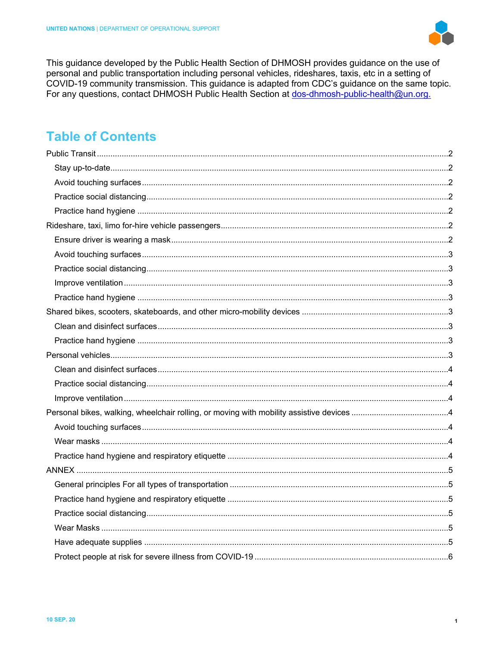

This guidance developed by the Public Health Section of DHMOSH provides guidance on the use of personal and public transportation including personal vehicles, rideshares, taxis, etc in a setting of COVID-19 community transmission. This guidance is adapted from CDC's guidance on the same topic. For any questions, contact DHMOSH Public Health Section at dos-dhmosh-public-health@un.org.

# **Table of Contents**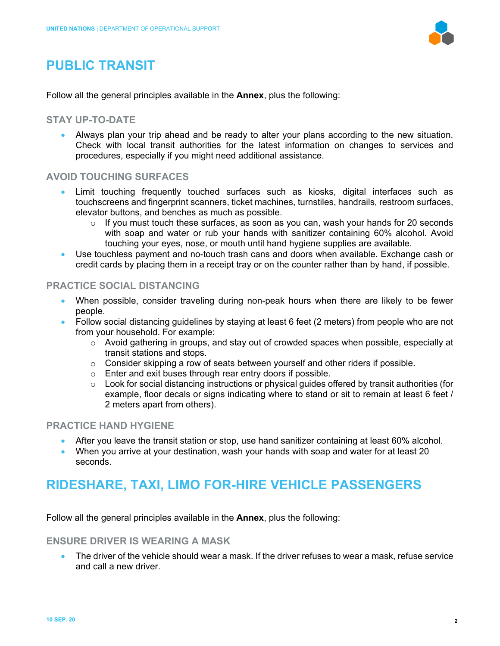

# <span id="page-2-0"></span>**PUBLIC TRANSIT**

Follow all the general principles available in the **Annex**, plus the following:

#### <span id="page-2-1"></span>**STAY UP-TO-DATE**

• Always plan your trip ahead and be ready to alter your plans according to the new situation. Check with local transit authorities for the latest information on changes to services and procedures, especially if you might need additional assistance.

### <span id="page-2-2"></span>**AVOID TOUCHING SURFACES**

- Limit touching frequently touched surfaces such as kiosks, digital interfaces such as touchscreens and fingerprint scanners, ticket machines, turnstiles, handrails, restroom surfaces, elevator buttons, and benches as much as possible.
	- o If you must touch these surfaces, as soon as you can, wash your hands for 20 seconds with soap and water or rub your hands with sanitizer containing 60% alcohol. Avoid touching your eyes, nose, or mouth until hand hygiene supplies are available.
- Use touchless payment and no-touch trash cans and doors when available. Exchange cash or credit cards by placing them in a receipt tray or on the counter rather than by hand, if possible.

### <span id="page-2-3"></span>**PRACTICE SOCIAL DISTANCING**

- When possible, consider traveling during non-peak hours when there are likely to be fewer people.
- Follow social distancing guidelines by staying at least 6 feet (2 meters) from people who are not from your household. For example:
	- $\circ$  Avoid gathering in groups, and stay out of crowded spaces when possible, especially at transit stations and stops.
	- $\circ$  Consider skipping a row of seats between yourself and other riders if possible.
	- o Enter and exit buses through rear entry doors if possible.
	- $\circ$  Look for social distancing instructions or physical guides offered by transit authorities (for example, floor decals or signs indicating where to stand or sit to remain at least 6 feet / 2 meters apart from others).

### <span id="page-2-4"></span>**PRACTICE HAND HYGIENE**

- After you leave the transit station or stop, use hand sanitizer containing at least 60% alcohol.
- When you arrive at your destination, [wash your hands](https://www.cdc.gov/handwashing/when-how-handwashing.html) with soap and water for at least 20 seconds.

## <span id="page-2-5"></span>**RIDESHARE, TAXI, LIMO FOR-HIRE VEHICLE PASSENGERS**

Follow all the general principles available in the **Annex**, plus the following:

#### <span id="page-2-6"></span>**ENSURE DRIVER IS WEARING A MASK**

• The driver of the vehicle should wear a mask. If the driver refuses to wear a mask, refuse service and call a new driver.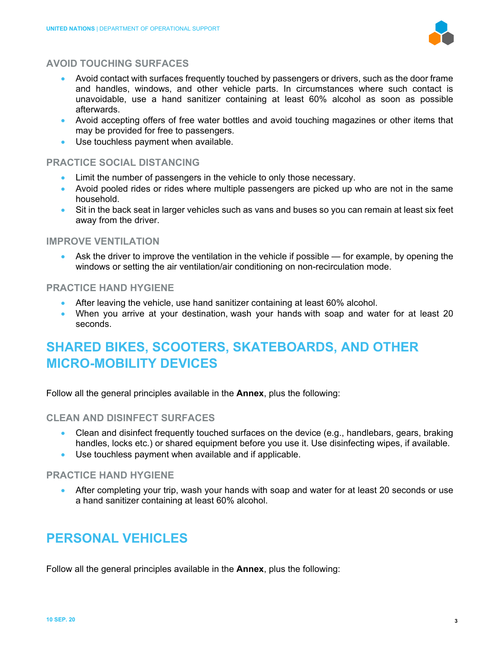

### <span id="page-3-0"></span>**AVOID TOUCHING SURFACES**

- Avoid contact with surfaces frequently touched by passengers or drivers, such as the door frame and handles, windows, and other vehicle parts. In circumstances where such contact is unavoidable, use a hand sanitizer containing at least 60% alcohol as soon as possible afterwards.
- Avoid accepting offers of free water bottles and avoid touching magazines or other items that may be provided for free to passengers.
- Use touchless payment when available.

#### <span id="page-3-1"></span>**PRACTICE SOCIAL DISTANCING**

- Limit the number of passengers in the vehicle to only those necessary.
- Avoid pooled rides or rides where multiple passengers are picked up who are not in the same household.
- Sit in the back seat in larger vehicles such as vans and buses so you can remain at least six feet away from the driver.

#### <span id="page-3-2"></span>**IMPROVE VENTILATION**

• Ask the driver to improve the ventilation in the vehicle if possible — for example, by opening the windows or setting the air ventilation/air conditioning on non-recirculation mode.

#### <span id="page-3-3"></span>**PRACTICE HAND HYGIENE**

- After leaving the vehicle, use hand sanitizer containing at least 60% alcohol.
- When you arrive at your destination, [wash your hands](https://www.cdc.gov/handwashing/when-how-handwashing.html) with soap and water for at least 20 seconds.

# <span id="page-3-4"></span>**SHARED BIKES, SCOOTERS, SKATEBOARDS, AND OTHER MICRO-MOBILITY DEVICES**

Follow all the general principles available in the **Annex**, plus the following:

#### <span id="page-3-5"></span>**CLEAN AND DISINFECT SURFACES**

- [Clean and disinfect](https://www.cdc.gov/coronavirus/2019-ncov/prevent-getting-sick/disinfecting-your-home.html) frequently touched surfaces on the device (e.g., handlebars, gears, braking handles, locks etc.) or shared equipment before you use it. Use disinfecting wipes, if available.
- Use touchless payment when available and if applicable.

#### <span id="page-3-6"></span>**PRACTICE HAND HYGIENE**

• After completing your trip, [wash your hands](https://www.cdc.gov/handwashing/when-how-handwashing.html) with soap and water for at least 20 seconds or use a hand sanitizer containing at least 60% alcohol.

# <span id="page-3-7"></span>**PERSONAL VEHICLES**

Follow all the general principles available in the **Annex**, plus the following: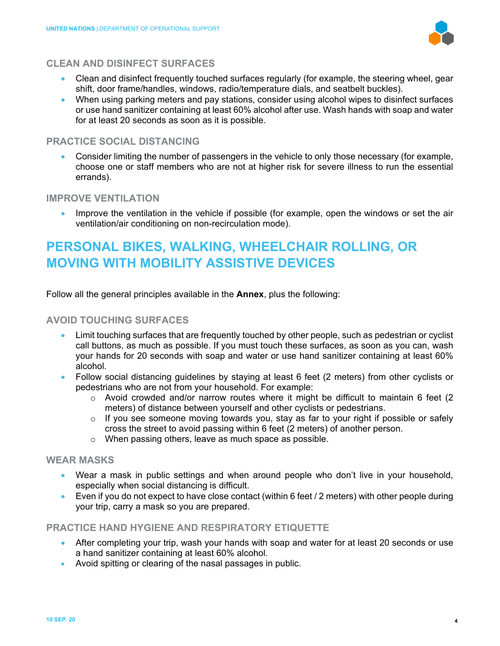

#### <span id="page-4-0"></span>**CLEAN AND DISINFECT SURFACES**

- [Clean and disinfect](https://www.cdc.gov/coronavirus/2019-ncov/prevent-getting-sick/disinfecting-your-home.html) frequently touched surfaces regularly (for example, the steering wheel, gear shift, door frame/handles, windows, radio/temperature dials, and seatbelt buckles).
- When using parking meters and pay stations, consider using alcohol wipes to disinfect surfaces or use hand sanitizer containing at least 60% alcohol after use. Wash hands with soap and water for at least 20 seconds as soon as it is possible.

### <span id="page-4-1"></span>**PRACTICE SOCIAL DISTANCING**

• Consider limiting the number of passengers in the vehicle to only those necessary (for example, choose one or staff members who are not at higher risk for severe illness to run the essential errands).

### <span id="page-4-2"></span>**IMPROVE VENTILATION**

• Improve the ventilation in the vehicle if possible (for example, open the windows or set the air ventilation/air conditioning on non-recirculation mode).

# <span id="page-4-3"></span>**PERSONAL BIKES, WALKING, WHEELCHAIR ROLLING, OR MOVING WITH MOBILITY ASSISTIVE DEVICES**

Follow all the general principles available in the **Annex**, plus the following:

#### <span id="page-4-4"></span>**AVOID TOUCHING SURFACES**

- Limit touching surfaces that are frequently touched by other people, such as pedestrian or cyclist call buttons, as much as possible. If you must touch these surfaces, as soon as you can, wash your hands for 20 seconds with soap and water or use hand sanitizer containing at least 60% alcohol.
- Follow social distancing guidelines by staying at least 6 feet (2 meters) from other cyclists or pedestrians who are not from your household. For example:
	- $\circ$  Avoid crowded and/or narrow routes where it might be difficult to maintain 6 feet (2) meters) of distance between yourself and other cyclists or pedestrians.
	- $\circ$  If you see someone moving towards you, stay as far to your right if possible or safely cross the street to avoid passing within 6 feet (2 meters) of another person.
	- o When passing others, leave as much space as possible.

#### <span id="page-4-5"></span>**WEAR MASKS**

- Wear a mask in public settings and when around people who don't live in your household, especially when social distancing is difficult.
- Even if you do not expect to have close contact (within 6 feet / 2 meters) with other people during your trip, carry a mask so you are prepared.

#### <span id="page-4-6"></span>**PRACTICE HAND HYGIENE AND RESPIRATORY ETIQUETTE**

- After completing your trip, [wash your hands](https://www.cdc.gov/handwashing/when-how-handwashing.html) with soap and water for at least 20 seconds or use a hand sanitizer containing at least 60% alcohol.
- Avoid spitting or clearing of the nasal passages in public.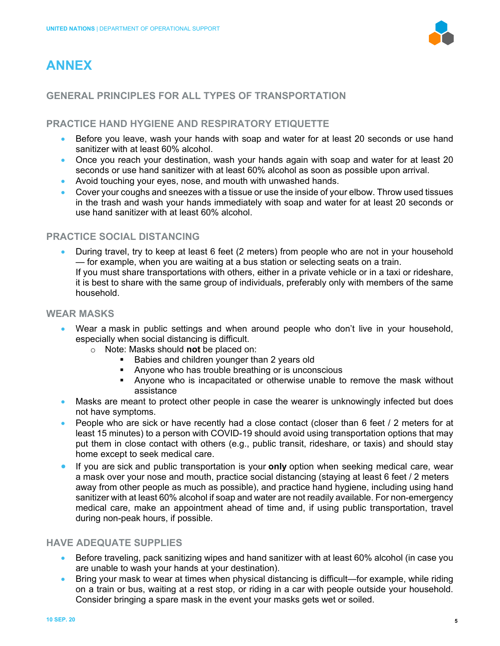# <span id="page-5-0"></span>**ANNEX**



### <span id="page-5-1"></span>**GENERAL PRINCIPLES FOR ALL TYPES OF TRANSPORTATION**

### <span id="page-5-2"></span>**PRACTICE HAND HYGIENE AND RESPIRATORY ETIQUETTE**

- Before you leave, wash your hands with soap and water for at least 20 seconds or use hand sanitizer with at least 60% alcohol.
- Once you reach your destination, wash your hands again with soap and water for at least 20 seconds or use hand sanitizer with at least 60% alcohol as soon as possible upon arrival.
- Avoid touching your eyes, nose, and mouth with unwashed hands.
- Cover your coughs and sneezes with a tissue or use the inside of your elbow. Throw used tissues in the trash and wash your hands immediately with soap and water for at least 20 seconds or use hand sanitizer with at least 60% alcohol.

### <span id="page-5-3"></span>**PRACTICE SOCIAL DISTANCING**

• During travel, try to keep at least 6 feet (2 meters) from people who are not in your household — for example, when you are waiting at a bus station or selecting seats on a train. If you must share transportations with others, either in a private vehicle or in a taxi or rideshare, it is best to share with the same group of individuals, preferably only with members of the same household.

#### <span id="page-5-4"></span>**WEAR MASKS**

- Wear a [mask](https://www.cdc.gov/coronavirus/2019-ncov/prevent-getting-sick/diy-cloth-face-coverings.html) in public settings and when around people who don't live in your household, especially when social distancing is difficult.
	- o Note: [Masks](https://www.cdc.gov/coronavirus/2019-ncov/prevent-getting-sick/diy-cloth-face-coverings.html) should **not** be placed on:
		- Babies and children younger than 2 years old
		- **Anyone who has trouble breathing or is unconscious**
		- Anyone who is incapacitated or otherwise unable to remove the mask without assistance
- Masks are meant to protect other people in case the wearer is unknowingly infected but does not have symptoms.
- [People who are sick](https://www.cdc.gov/coronavirus/2019-ncov/if-you-are-sick/index.html) or have recently had a close contact (closer than 6 feet / 2 meters for at least 15 minutes) to a person with COVID-19 should avoid using transportation options that may put them in close contact with others (e.g., public transit, rideshare, or taxis) and should stay home except to seek medical care.
- If you are [sick](https://www.cdc.gov/coronavirus/2019-ncov/if-you-are-sick/steps-when-sick.html) and public transportation is your **only** option when seeking medical care, wear a [mask](https://www.cdc.gov/coronavirus/2019-ncov/prevent-getting-sick/cloth-face-cover-guidance.html) over your nose and mouth, practice [social distancing](https://www.cdc.gov/coronavirus/2019-ncov/prevent-getting-sick/social-distancing.html) (staying at least 6 feet / 2 meters away from other people as much as possible), and practice [hand hygiene,](https://www.cdc.gov/handwashing/when-how-handwashing.html) including using hand sanitizer with at least 60% alcohol if soap and water are not readily available. For non-emergency medical care, make an appointment ahead of time and, if using public transportation, travel during non-peak hours, if possible.

### <span id="page-5-5"></span>**HAVE ADEQUATE SUPPLIES**

- Before traveling, pack sanitizing wipes and hand sanitizer with at least 60% alcohol (in case you are unable to wash your hands at your destination).
- Bring your [mask](https://www.cdc.gov/coronavirus/2019-ncov/prevent-getting-sick/diy-cloth-face-coverings.html) to wear at times when physical distancing is difficult—for example, while riding on a train or bus, waiting at a rest stop, or riding in a car with people outside your household. Consider bringing a spare mask in the event your masks gets wet or soiled.